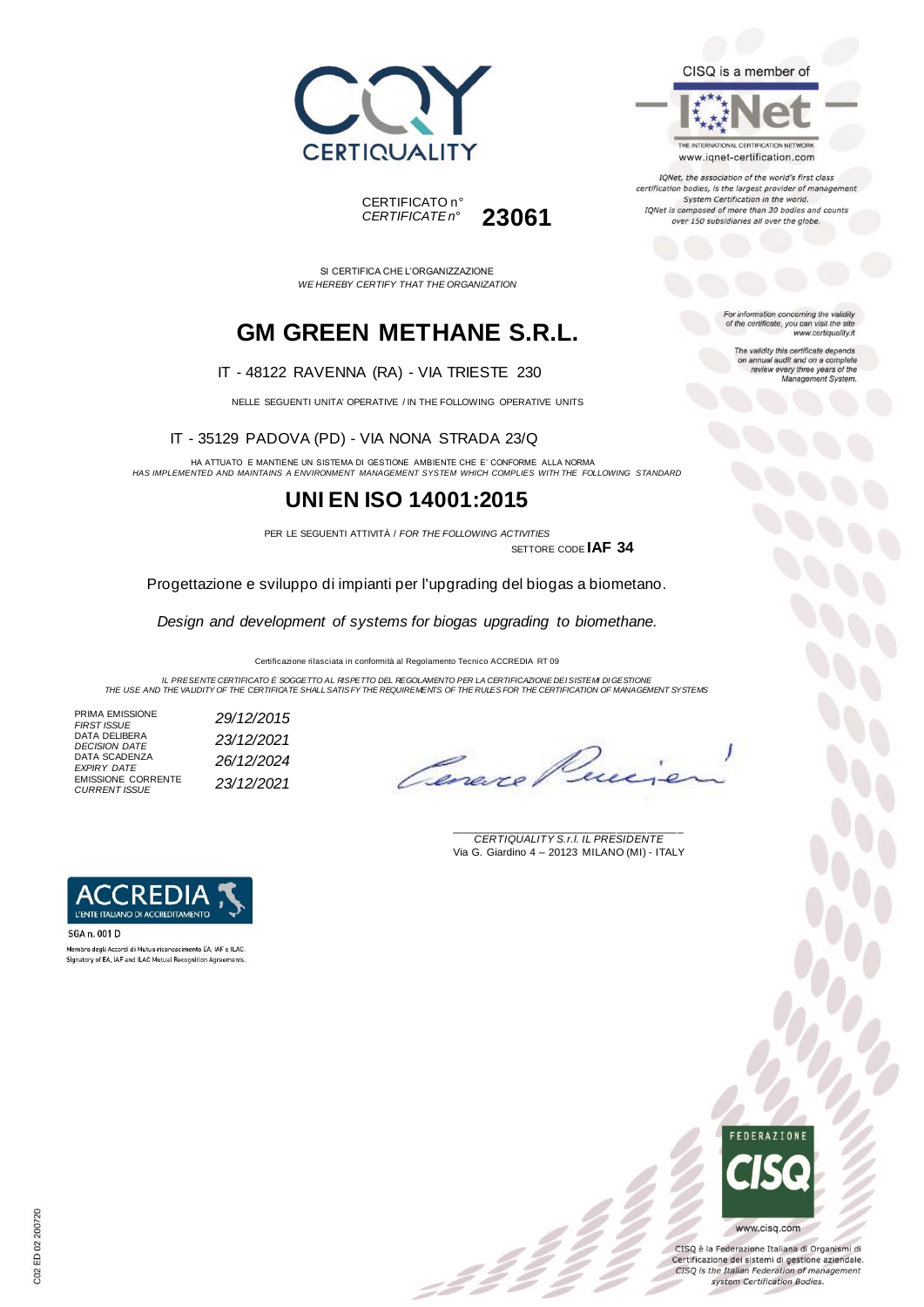



SI CERTIFICA CHE L'ORGANIZZAZIONE *WE HEREBY CERTIFY THAT THE ORGANIZATION*

## **GM GREEN METHANE S.R.L.**

IT - 48122 RAVENNA (RA) - VIA TRIESTE 230

NELLE SEGUENTI UNITA' OPERATIVE / IN THE FOLLOWING OPERATIVE UNITS

IT - 35129 PADOVA (PD) - VIA NONA STRADA 23/Q

HA ATTUATO E MANTIENE UN SISTEMA DI GESTIONE AMBIENTE CHE E' CONFORME ALLA NORMA *HAS IMPLEMENTED AND MAINTAINS A ENVIRONMENT MANAGEMENT SYSTEM WHICH COMPLIES WITH THE FOLLOWING STANDARD*

### **UNI EN ISO 14001:2015**

PER LE SEGUENTI ATTIVITÀ / *FOR THE FOLLOWING ACTIVITIES*

SETTORE CODE **IAF 34**

Progettazione e sviluppo di impianti per l'upgrading del biogas a biometano.

*Design and development of systems for biogas upgrading to biomethane.*

Certificazione rilasciata in conformità al Regolamento Tecnico ACCREDIA RT 09

*IL PRESENTE CERTIFICATO È SOGGETTO AL RISPETTO DEL REGOLAMENTO PER LA CERTIFICAZIONE DEI SISTEMI DI GESTIONE THE USE AND THE VALIDITY OF THE CERTIFICATE SHALL SATISFY THE REQUIREMENTS OF THE RULES FOR THE CERTIFICATION OF MANAGEMENT SYSTEMS*

= 2 2 °

PRIMA EMISSIONE<br>FIRST ISSUE DATA DELIBERA DATA SCADENZA *EXPIRY DATE 26/12/2024* EMISSIONE CORRENTE *CURRENT ISSUE 23/12/2021*

*FIRST ISSUE 29/12/2015 DECISION DATE 23/12/2021*

Ceneve

\_\_\_\_\_\_\_\_\_\_\_\_\_\_\_\_\_\_\_\_\_\_\_\_\_\_\_\_\_\_\_\_\_\_\_\_\_\_\_ *CERTIQUALITY S.r.l. IL PRESIDENTE* Via G. Giardino 4 – 20123 MILANO (MI) - ITALY



SGA n. 001 D Membro degli Accordi di Mutuo riconoscimento EA JAE e ILAC. Signatory of EA, IAF and ILAC Mutual Recognition Agreements

# **FFDFRATIONE** www.cisq.com

CISQ è la Federazione Italiana di Organismi di Certificazione dei sistemi di gestione aziendale. CISQ is the Italian Federation of management system Certification Bodies.



THE INTERNATIONAL CERTIFICATION NETWORK www.iqnet-certification.com

IQNet, the association of the world's first class certification bodies, is the largest provider of manageme. System Certification in the world. IQNet is composed of more than 30 bodies and counts over 150 subsidiaries all over the globe.

> For information concerning the validity<br>of the certificate, you can visit the site www.certiquality.it

> > The validity this certificate depends on annual audit and on a complete<br>review every three years of the<br>Management System.